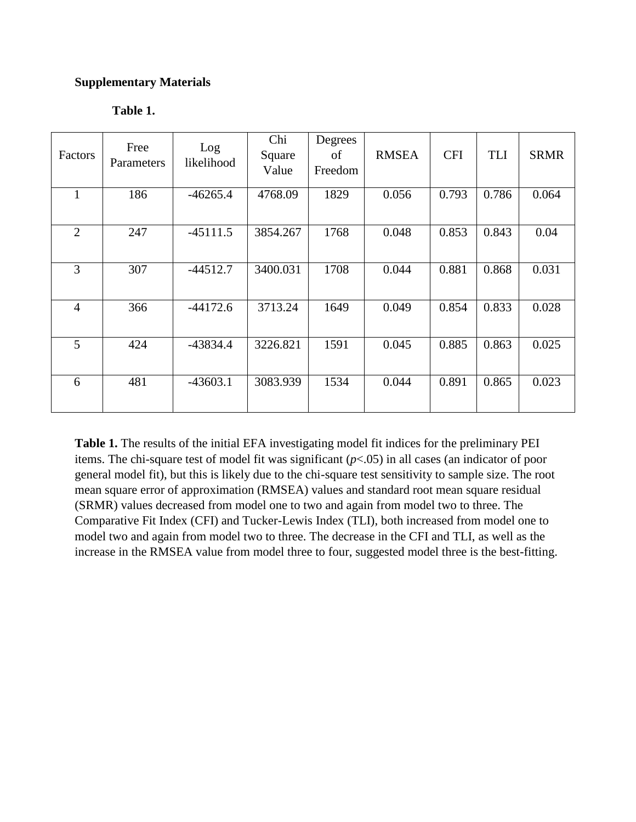## **Supplementary Materials**

| 'able |  |
|-------|--|
|-------|--|

| Factors        | Free<br>Parameters | Log<br>likelihood | Chi<br>Square<br>Value | Degrees<br>of<br>Freedom | <b>RMSEA</b> | <b>CFI</b> | TLI   | <b>SRMR</b> |
|----------------|--------------------|-------------------|------------------------|--------------------------|--------------|------------|-------|-------------|
| $\mathbf{1}$   | 186                | $-46265.4$        | 4768.09                | 1829                     | 0.056        | 0.793      | 0.786 | 0.064       |
| $\overline{2}$ | 247                | $-45111.5$        | 3854.267               | 1768                     | 0.048        | 0.853      | 0.843 | 0.04        |
| 3              | 307                | $-44512.7$        | 3400.031               | 1708                     | 0.044        | 0.881      | 0.868 | 0.031       |
| $\overline{4}$ | 366                | $-44172.6$        | 3713.24                | 1649                     | 0.049        | 0.854      | 0.833 | 0.028       |
| 5              | 424                | $-43834.4$        | 3226.821               | 1591                     | 0.045        | 0.885      | 0.863 | 0.025       |
| 6              | 481                | $-43603.1$        | 3083.939               | 1534                     | 0.044        | 0.891      | 0.865 | 0.023       |

**Table 1.** The results of the initial EFA investigating model fit indices for the preliminary PEI items. The chi-square test of model fit was significant (*p*<.05) in all cases (an indicator of poor general model fit), but this is likely due to the chi-square test sensitivity to sample size. The root mean square error of approximation (RMSEA) values and standard root mean square residual (SRMR) values decreased from model one to two and again from model two to three. The Comparative Fit Index (CFI) and Tucker-Lewis Index (TLI), both increased from model one to model two and again from model two to three. The decrease in the CFI and TLI, as well as the increase in the RMSEA value from model three to four, suggested model three is the best-fitting.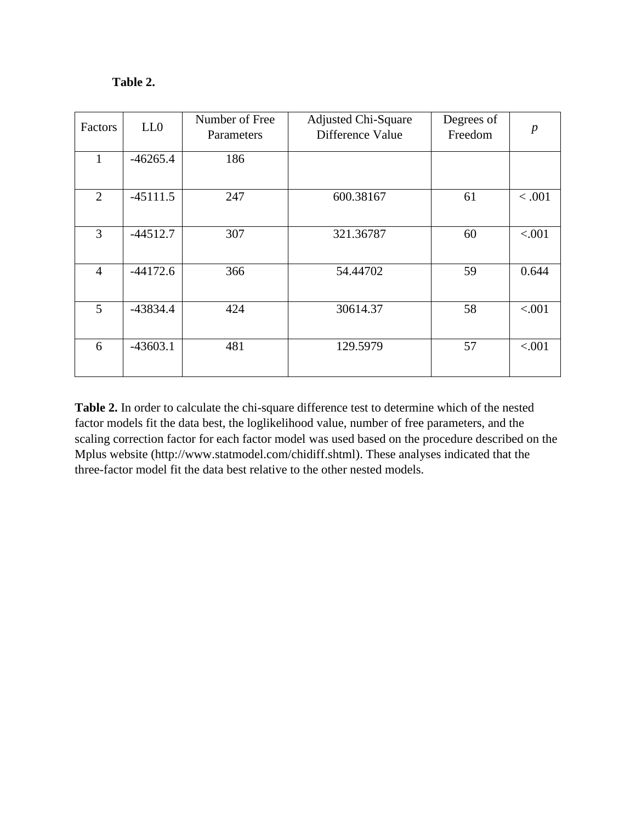# **Table 2.**

| Factors        | LL0        | Number of Free<br>Parameters | <b>Adjusted Chi-Square</b><br>Difference Value | Degrees of<br>Freedom | $\boldsymbol{p}$ |
|----------------|------------|------------------------------|------------------------------------------------|-----------------------|------------------|
| $\mathbf{1}$   | $-46265.4$ | 186                          |                                                |                       |                  |
| $\overline{2}$ | $-45111.5$ | 247                          | 600.38167                                      | 61                    | < .001           |
| 3              | $-44512.7$ | 307                          | 321.36787                                      | 60                    | < .001           |
| $\overline{4}$ | $-44172.6$ | 366                          | 54.44702                                       | 59                    | 0.644            |
| 5              | $-43834.4$ | 424                          | 30614.37                                       | 58                    | < .001           |
| 6              | $-43603.1$ | 481                          | 129.5979                                       | 57                    | < .001           |

**Table 2.** In order to calculate the chi-square difference test to determine which of the nested factor models fit the data best, the loglikelihood value, number of free parameters, and the scaling correction factor for each factor model was used based on the procedure described on the Mplus website (http://www.statmodel.com/chidiff.shtml). These analyses indicated that the three-factor model fit the data best relative to the other nested models.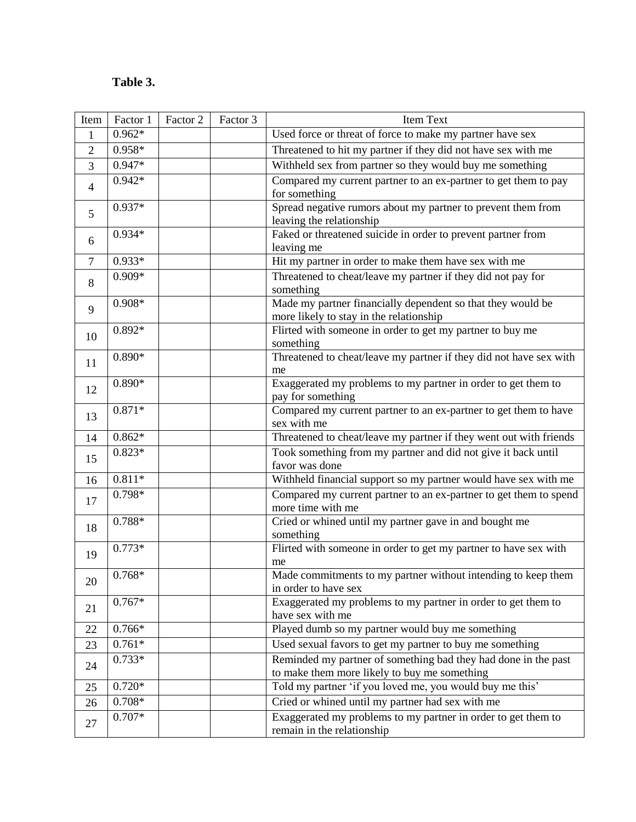# **Table 3.**

| Item           | Factor 1 | Factor 2 | Factor 3 | Item Text                                                                                |
|----------------|----------|----------|----------|------------------------------------------------------------------------------------------|
| 1              | $0.962*$ |          |          | Used force or threat of force to make my partner have sex                                |
| $\overline{2}$ | 0.958*   |          |          | Threatened to hit my partner if they did not have sex with me                            |
| 3              | $0.947*$ |          |          | Withheld sex from partner so they would buy me something                                 |
| $\overline{4}$ | $0.942*$ |          |          | Compared my current partner to an ex-partner to get them to pay                          |
|                |          |          |          | for something                                                                            |
| 5              | 0.937*   |          |          | Spread negative rumors about my partner to prevent them from<br>leaving the relationship |
|                | $0.934*$ |          |          | Faked or threatened suicide in order to prevent partner from                             |
| 6              |          |          |          | leaving me                                                                               |
| $\tau$         | $0.933*$ |          |          | Hit my partner in order to make them have sex with me                                    |
|                | 0.909*   |          |          | Threatened to cheat/leave my partner if they did not pay for                             |
| 8              |          |          |          | something                                                                                |
| 9              | $0.908*$ |          |          | Made my partner financially dependent so that they would be                              |
|                |          |          |          | more likely to stay in the relationship                                                  |
| 10             | $0.892*$ |          |          | Flirted with someone in order to get my partner to buy me                                |
|                | $0.890*$ |          |          | something<br>Threatened to cheat/leave my partner if they did not have sex with          |
| 11             |          |          |          | me                                                                                       |
|                | $0.890*$ |          |          | Exaggerated my problems to my partner in order to get them to                            |
| 12             |          |          |          | pay for something                                                                        |
| 13             | $0.871*$ |          |          | Compared my current partner to an ex-partner to get them to have                         |
|                |          |          |          | sex with me                                                                              |
| 14             | $0.862*$ |          |          | Threatened to cheat/leave my partner if they went out with friends                       |
| 15             | $0.823*$ |          |          | Took something from my partner and did not give it back until                            |
|                |          |          |          | favor was done                                                                           |
| 16             | $0.811*$ |          |          | Withheld financial support so my partner would have sex with me                          |
| 17             | 0.798*   |          |          | Compared my current partner to an ex-partner to get them to spend<br>more time with me   |
|                | 0.788*   |          |          | Cried or whined until my partner gave in and bought me                                   |
| 18             |          |          |          | something                                                                                |
| 19             | $0.773*$ |          |          | Flirted with someone in order to get my partner to have sex with                         |
|                |          |          |          | me                                                                                       |
| 20             | $0.768*$ |          |          | Made commitments to my partner without intending to keep them                            |
|                | $0.767*$ |          |          | in order to have sex                                                                     |
| 21             |          |          |          | Exaggerated my problems to my partner in order to get them to<br>have sex with me        |
| 22             | $0.766*$ |          |          | Played dumb so my partner would buy me something                                         |
| 23             | $0.761*$ |          |          | Used sexual favors to get my partner to buy me something                                 |
|                | $0.733*$ |          |          | Reminded my partner of something bad they had done in the past                           |
| 24             |          |          |          | to make them more likely to buy me something                                             |
| 25             | $0.720*$ |          |          | Told my partner 'if you loved me, you would buy me this'                                 |
| 26             | $0.708*$ |          |          | Cried or whined until my partner had sex with me                                         |
|                | 0.707*   |          |          | Exaggerated my problems to my partner in order to get them to                            |
| 27             |          |          |          | remain in the relationship                                                               |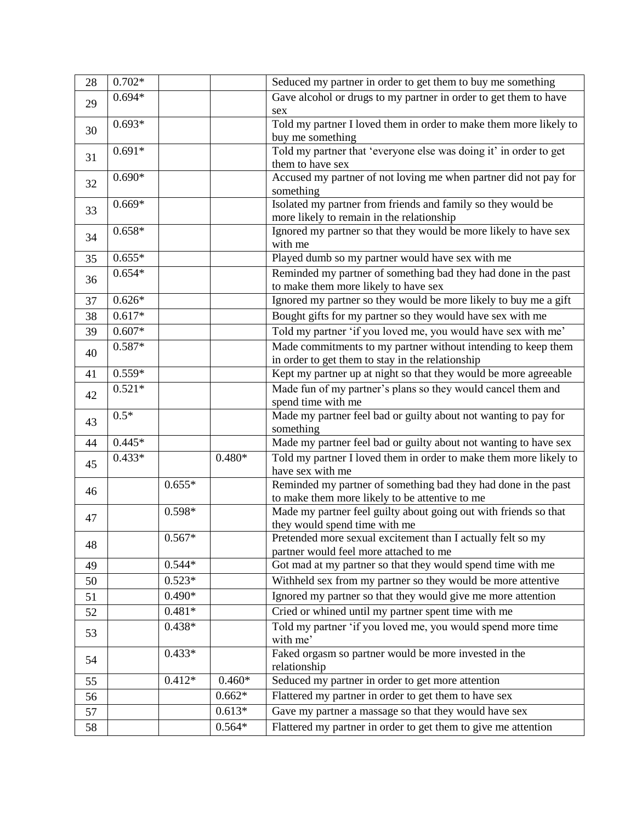| 28 | $0.702*$ |          |          | Seduced my partner in order to get them to buy me something       |
|----|----------|----------|----------|-------------------------------------------------------------------|
|    | $0.694*$ |          |          | Gave alcohol or drugs to my partner in order to get them to have  |
| 29 |          |          |          | sex                                                               |
| 30 | $0.693*$ |          |          | Told my partner I loved them in order to make them more likely to |
|    |          |          |          | buy me something                                                  |
| 31 | $0.691*$ |          |          | Told my partner that 'everyone else was doing it' in order to get |
|    |          |          |          | them to have sex                                                  |
| 32 | $0.690*$ |          |          | Accused my partner of not loving me when partner did not pay for  |
|    |          |          |          | something                                                         |
| 33 | $0.669*$ |          |          | Isolated my partner from friends and family so they would be      |
|    |          |          |          | more likely to remain in the relationship                         |
| 34 | $0.658*$ |          |          | Ignored my partner so that they would be more likely to have sex  |
|    |          |          |          | with me                                                           |
| 35 | $0.655*$ |          |          | Played dumb so my partner would have sex with me                  |
| 36 | $0.654*$ |          |          | Reminded my partner of something bad they had done in the past    |
|    |          |          |          | to make them more likely to have sex                              |
| 37 | $0.626*$ |          |          | Ignored my partner so they would be more likely to buy me a gift  |
| 38 | $0.617*$ |          |          | Bought gifts for my partner so they would have sex with me        |
| 39 | $0.607*$ |          |          | Told my partner 'if you loved me, you would have sex with me'     |
|    | $0.587*$ |          |          | Made commitments to my partner without intending to keep them     |
| 40 |          |          |          | in order to get them to stay in the relationship                  |
| 41 | $0.559*$ |          |          | Kept my partner up at night so that they would be more agreeable  |
|    | $0.521*$ |          |          | Made fun of my partner's plans so they would cancel them and      |
| 42 |          |          |          | spend time with me                                                |
|    | $0.5*$   |          |          | Made my partner feel bad or guilty about not wanting to pay for   |
| 43 |          |          |          | something                                                         |
| 44 | $0.445*$ |          |          | Made my partner feel bad or guilty about not wanting to have sex  |
|    | $0.433*$ |          | $0.480*$ | Told my partner I loved them in order to make them more likely to |
| 45 |          |          |          | have sex with me                                                  |
| 46 |          | $0.655*$ |          | Reminded my partner of something bad they had done in the past    |
|    |          |          |          | to make them more likely to be attentive to me                    |
| 47 |          | 0.598*   |          | Made my partner feel guilty about going out with friends so that  |
|    |          |          |          | they would spend time with me                                     |
| 48 |          | $0.567*$ |          | Pretended more sexual excitement than I actually felt so my       |
|    |          |          |          | partner would feel more attached to me                            |
| 49 |          | $0.544*$ |          | Got mad at my partner so that they would spend time with me       |
| 50 |          | $0.523*$ |          | Withheld sex from my partner so they would be more attentive      |
| 51 |          | $0.490*$ |          | Ignored my partner so that they would give me more attention      |
| 52 |          | $0.481*$ |          | Cried or whined until my partner spent time with me               |
|    |          | $0.438*$ |          | Told my partner 'if you loved me, you would spend more time       |
| 53 |          |          |          | with me'                                                          |
|    |          | $0.433*$ |          | Faked orgasm so partner would be more invested in the             |
| 54 |          |          |          | relationship                                                      |
| 55 |          | $0.412*$ | $0.460*$ | Seduced my partner in order to get more attention                 |
| 56 |          |          | $0.662*$ | Flattered my partner in order to get them to have sex             |
| 57 |          |          | $0.613*$ | Gave my partner a massage so that they would have sex             |
| 58 |          |          | $0.564*$ | Flattered my partner in order to get them to give me attention    |
|    |          |          |          |                                                                   |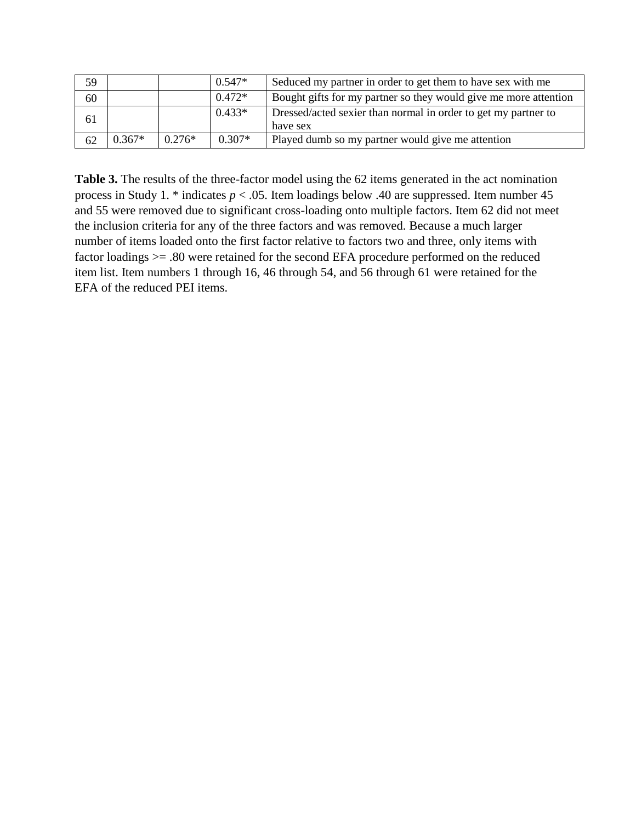| 59 |          |          | $0.547*$ | Seduced my partner in order to get them to have sex with me                |
|----|----------|----------|----------|----------------------------------------------------------------------------|
| 60 |          |          | $0.472*$ | Bought gifts for my partner so they would give me more attention           |
| 61 |          |          | $0.433*$ | Dressed/acted sexier than normal in order to get my partner to<br>have sex |
|    | $0.367*$ | $0.276*$ | $0.307*$ |                                                                            |
| 62 |          |          |          | Played dumb so my partner would give me attention                          |

**Table 3.** The results of the three-factor model using the 62 items generated in the act nomination process in Study 1. \* indicates *p* < .05. Item loadings below .40 are suppressed. Item number 45 and 55 were removed due to significant cross-loading onto multiple factors. Item 62 did not meet the inclusion criteria for any of the three factors and was removed. Because a much larger number of items loaded onto the first factor relative to factors two and three, only items with factor loadings >= .80 were retained for the second EFA procedure performed on the reduced item list. Item numbers 1 through 16, 46 through 54, and 56 through 61 were retained for the EFA of the reduced PEI items.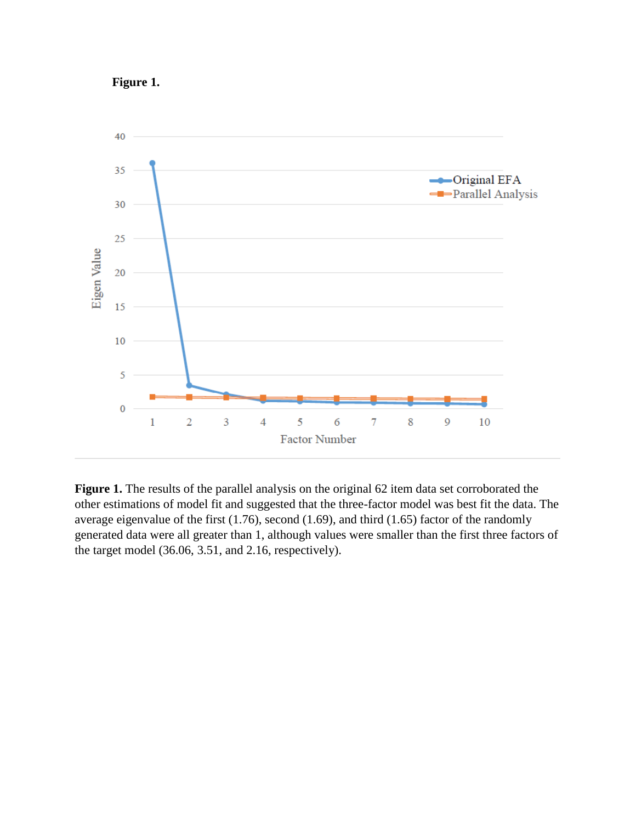



**Figure 1.** The results of the parallel analysis on the original 62 item data set corroborated the other estimations of model fit and suggested that the three-factor model was best fit the data. The average eigenvalue of the first (1.76), second (1.69), and third (1.65) factor of the randomly generated data were all greater than 1, although values were smaller than the first three factors of the target model (36.06, 3.51, and 2.16, respectively).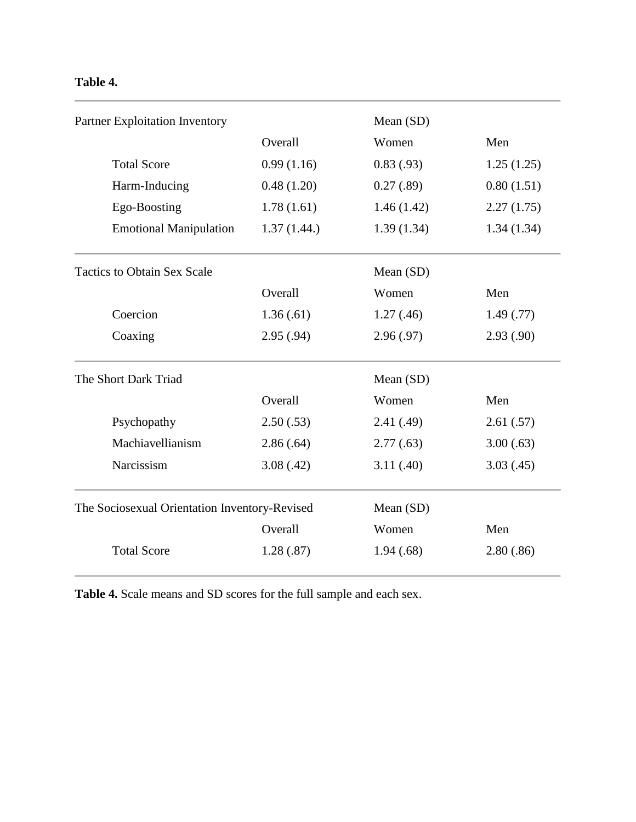# **Table 4.**

| Partner Exploitation Inventory                |             | Mean (SD)  |            |
|-----------------------------------------------|-------------|------------|------------|
|                                               | Overall     | Women      | Men        |
| <b>Total Score</b>                            | 0.99(1.16)  | 0.83(0.93) | 1.25(1.25) |
| Harm-Inducing                                 | 0.48(1.20)  | 0.27(.89)  | 0.80(1.51) |
| Ego-Boosting                                  | 1.78(1.61)  | 1.46(1.42) | 2.27(1.75) |
| <b>Emotional Manipulation</b>                 | 1.37(1.44.) | 1.39(1.34) | 1.34(1.34) |
| <b>Tactics to Obtain Sex Scale</b>            |             | Mean (SD)  |            |
|                                               | Overall     | Women      | Men        |
| Coercion                                      | 1.36(.61)   | 1.27(0.46) | 1.49(0.77) |
| Coaxing                                       | 2.95(.94)   | 2.96(.97)  | 2.93(.90)  |
| The Short Dark Triad                          |             | Mean (SD)  |            |
|                                               | Overall     | Women      | Men        |
| Psychopathy                                   | 2.50(.53)   | 2.41(.49)  | 2.61(.57)  |
| Machiavellianism                              | 2.86(.64)   | 2.77(.63)  | 3.00(.63)  |
| Narcissism                                    | 3.08(.42)   | 3.11(.40)  | 3.03(0.45) |
| The Sociosexual Orientation Inventory-Revised |             | Mean (SD)  |            |
|                                               | Overall     | Women      | Men        |
| <b>Total Score</b>                            | 1.28(.87)   | 1.94(.68)  | 2.80(.86)  |

**Table 4.** Scale means and SD scores for the full sample and each sex.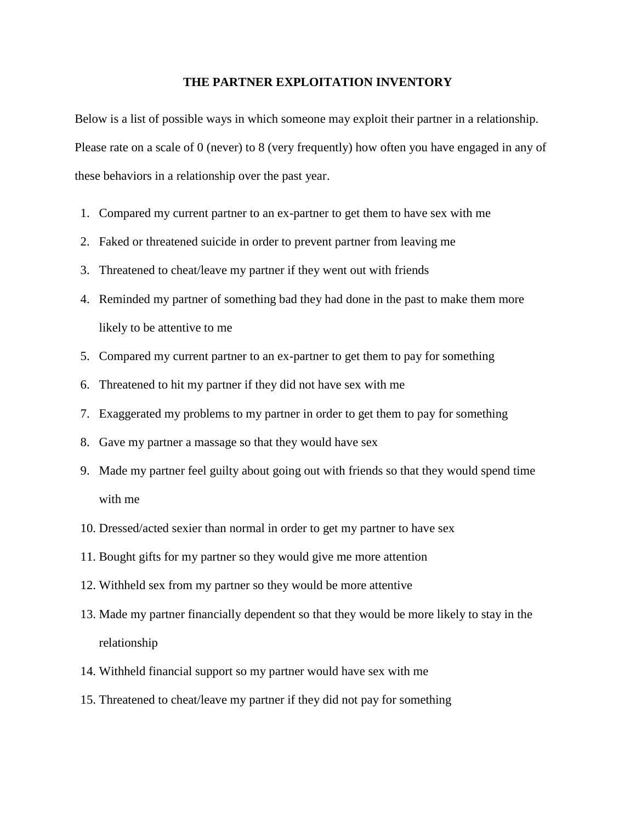#### **THE PARTNER EXPLOITATION INVENTORY**

Below is a list of possible ways in which someone may exploit their partner in a relationship. Please rate on a scale of 0 (never) to 8 (very frequently) how often you have engaged in any of these behaviors in a relationship over the past year.

- 1. Compared my current partner to an ex-partner to get them to have sex with me
- 2. Faked or threatened suicide in order to prevent partner from leaving me
- 3. Threatened to cheat/leave my partner if they went out with friends
- 4. Reminded my partner of something bad they had done in the past to make them more likely to be attentive to me
- 5. Compared my current partner to an ex-partner to get them to pay for something
- 6. Threatened to hit my partner if they did not have sex with me
- 7. Exaggerated my problems to my partner in order to get them to pay for something
- 8. Gave my partner a massage so that they would have sex
- 9. Made my partner feel guilty about going out with friends so that they would spend time with me
- 10. Dressed/acted sexier than normal in order to get my partner to have sex
- 11. Bought gifts for my partner so they would give me more attention
- 12. Withheld sex from my partner so they would be more attentive
- 13. Made my partner financially dependent so that they would be more likely to stay in the relationship
- 14. Withheld financial support so my partner would have sex with me
- 15. Threatened to cheat/leave my partner if they did not pay for something